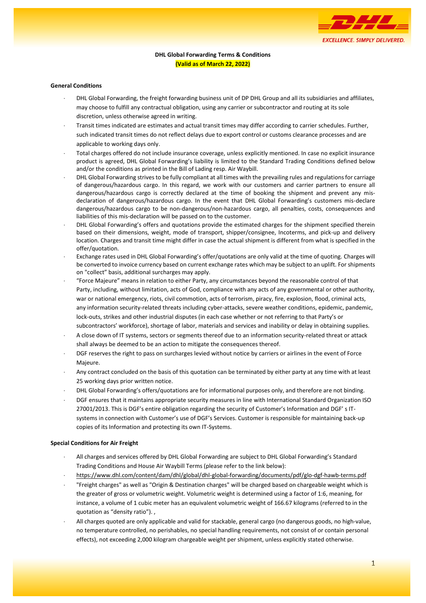

# **DHL Global Forwarding Terms & Conditions (Valid as of March 22, 2022)**

#### **General Conditions**

- DHL Global Forwarding, the freight forwarding business unit of DP DHL Group and all its subsidiaries and affiliates, may choose to fulfill any contractual obligation, using any carrier or subcontractor and routing at its sole discretion, unless otherwise agreed in writing.
- Transit times indicated are estimates and actual transit times may differ according to carrier schedules. Further, such indicated transit times do not reflect delays due to export control or customs clearance processes and are applicable to working days only.
- Total charges offered do not include insurance coverage, unless explicitly mentioned. In case no explicit insurance product is agreed, DHL Global Forwarding's liability is limited to the Standard Trading Conditions defined below and/or the conditions as printed in the Bill of Lading resp. Air Waybill.
- DHL Global Forwarding strives to be fully compliant at all times with the prevailing rules and regulations for carriage of dangerous/hazardous cargo. In this regard, we work with our customers and carrier partners to ensure all dangerous/hazardous cargo is correctly declared at the time of booking the shipment and prevent any misdeclaration of dangerous/hazardous cargo. In the event that DHL Global Forwarding's customers mis-declare dangerous/hazardous cargo to be non-dangerous/non-hazardous cargo, all penalties, costs, consequences and liabilities of this mis-declaration will be passed on to the customer.
- DHL Global Forwarding's offers and quotations provide the estimated charges for the shipment specified therein based on their dimensions, weight, mode of transport, shipper/consignee, Incoterms, and pick-up and delivery location. Charges and transit time might differ in case the actual shipment is different from what is specified in the offer/quotation.
- Exchange rates used in DHL Global Forwarding's offer/quotations are only valid at the time of quoting. Charges will be converted to invoice currency based on current exchange rates which may be subject to an uplift. For shipments on "collect" basis, additional surcharges may apply.
- "Force Majeure" means in relation to either Party, any circumstances beyond the reasonable control of that Party, including, without limitation, acts of God, compliance with any acts of any governmental or other authority, war or national emergency, riots, civil commotion, acts of terrorism, piracy, fire, explosion, flood, criminal acts, any information security-related threats including cyber-attacks, severe weather conditions, epidemic, pandemic, lock-outs, strikes and other industrial disputes (in each case whether or not referring to that Party's or subcontractors' workforce), shortage of labor, materials and services and inability or delay in obtaining supplies.
- A close down of IT systems, sectors or segments thereof due to an information security-related threat or attack shall always be deemed to be an action to mitigate the consequences thereof.
- DGF reserves the right to pass on surcharges levied without notice by carriers or airlines in the event of Force Majeure.
- Any contract concluded on the basis of this quotation can be terminated by either party at any time with at least 25 working days prior written notice.
- DHL Global Forwarding's offers/quotations are for informational purposes only, and therefore are not binding.
- DGF ensures that it maintains appropriate security measures in line with International Standard Organization ISO 27001/2013. This is DGF's entire obligation regarding the security of Customer's Information and DGF' s ITsystems in connection with Customer's use of DGF's Services. Customer is responsible for maintaining back-up copies of its Information and protecting its own IT-Systems.

#### **Special Conditions for Air Freight**

- All charges and services offered by DHL Global Forwarding are subject to DHL Global Forwarding's Standard Trading Conditions and House Air Waybill Terms (please refer to the link below):
- <https://www.dhl.com/content/dam/dhl/global/dhl-global-forwarding/documents/pdf/glo-dgf-hawb-terms.pdf>
- "Freight charges" as well as "Origin & Destination charges" will be charged based on chargeable weight which is the greater of gross or volumetric weight. Volumetric weight is determined using a factor of 1:6, meaning, for instance, a volume of 1 cubic meter has an equivalent volumetric weight of 166.67 kilograms (referred to in the quotation as "density ratio"). ,
- All charges quoted are only applicable and valid for stackable, general cargo (no dangerous goods, no high-value, no temperature controlled, no perishables, no special handling requirements, not consist of or contain personal effects), not exceeding 2,000 kilogram chargeable weight per shipment, unless explicitly stated otherwise.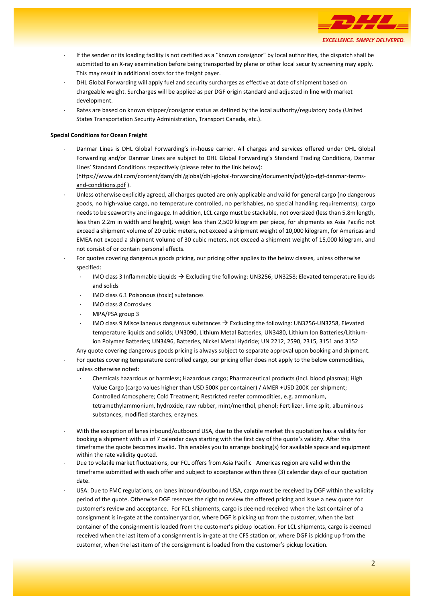

- If the sender or its loading facility is not certified as a "known consignor" by local authorities, the dispatch shall be submitted to an X-ray examination before being transported by plane or other local security screening may apply. This may result in additional costs for the freight payer.
- DHL Global Forwarding will apply fuel and security surcharges as effective at date of shipment based on chargeable weight. Surcharges will be applied as per DGF origin standard and adjusted in line with market development.
- Rates are based on known shipper/consignor status as defined by the local authority/regulatory body (United States Transportation Security Administration, Transport Canada, etc.).

### **Special Conditions for Ocean Freight**

 Danmar Lines is DHL Global Forwarding's in-house carrier. All charges and services offered under DHL Global Forwarding and/or Danmar Lines are subject to DHL Global Forwarding's Standard Trading Conditions, Danmar Lines' Standard Conditions respectively (please refer to the link below):

[\(https://www.dhl.com/content/dam/dhl/global/dhl-global-forwarding/documents/pdf/glo-dgf-danmar-terms](https://www.dhl.com/content/dam/dhl/global/dhl-global-forwarding/documents/pdf/glo-dgf-danmar-terms-and-conditions.pdf)[and-conditions.pdf](https://www.dhl.com/content/dam/dhl/global/dhl-global-forwarding/documents/pdf/glo-dgf-danmar-terms-and-conditions.pdf) ).

- Unless otherwise explicitly agreed, all charges quoted are only applicable and valid for general cargo (no dangerous goods, no high-value cargo, no temperature controlled, no perishables, no special handling requirements); cargo needs to be seaworthy and in gauge. In addition, LCL cargo must be stackable, not oversized (less than 5.8m length, less than 2.2m in width and height), weigh less than 2,500 kilogram per piece, for shipments ex Asia Pacific not exceed a shipment volume of 20 cubic meters, not exceed a shipment weight of 10,000 kilogram, for Americas and EMEA not exceed a shipment volume of 30 cubic meters, not exceed a shipment weight of 15,000 kilogram, and not consist of or contain personal effects.
- For quotes covering dangerous goods pricing, our pricing offer applies to the below classes, unless otherwise specified:
	- IMO class 3 Inflammable Liquids  $\rightarrow$  Excluding the following: UN3256; UN3258; Elevated temperature liquids and solids
	- IMO class 6.1 Poisonous (toxic) substances
	- IMO class 8 Corrosives
	- MPA/PSA group 3
	- IMO class 9 Miscellaneous dangerous substances → Excluding the following: UN3256-UN3258, Elevated temperature liquids and solids; UN3090, Lithium Metal Batteries; UN3480, Lithium Ion Batteries/Lithiumion Polymer Batteries; UN3496, Batteries, Nickel Metal Hydride; UN 2212, 2590, 2315, 3151 and 3152

Any quote covering dangerous goods pricing is always subject to separate approval upon booking and shipment.

- For quotes covering temperature controlled cargo, our pricing offer does not apply to the below commodities, unless otherwise noted:
	- Chemicals hazardous or harmless; Hazardous cargo; Pharmaceutical products (incl. blood plasma); High Value Cargo (cargo values higher than USD 500K per container) / AMER +USD 200K per shipment; Controlled Atmosphere; Cold Treatment; Restricted reefer commodities, e.g. ammonium, tetramethylammonium, hydroxide, raw rubber, mint/menthol, phenol; Fertilizer, lime split, albuminous substances, modified starches, enzymes.
- With the exception of lanes inbound/outbound USA, due to the volatile market this quotation has a validity for booking a shipment with us of 7 calendar days starting with the first day of the quote's validity. After this timeframe the quote becomes invalid. This enables you to arrange booking(s) for available space and equipment within the rate validity quoted.
- Due to volatile market fluctuations, our FCL offers from Asia Pacific –Americas region are valid within the timeframe submitted with each offer and subject to acceptance within three (3) calendar days of our quotation date.
- USA: Due to FMC regulations, on lanes inbound/outbound USA, cargo must be received by DGF within the validity period of the quote. Otherwise DGF reserves the right to review the offered pricing and issue a new quote for customer's review and acceptance. For FCL shipments, cargo is deemed received when the last container of a consignment is in-gate at the container yard or, where DGF is picking up from the customer, when the last container of the consignment is loaded from the customer's pickup location. For LCL shipments, cargo is deemed received when the last item of a consignment is in-gate at the CFS station or, where DGF is picking up from the customer, when the last item of the consignment is loaded from the customer's pickup location.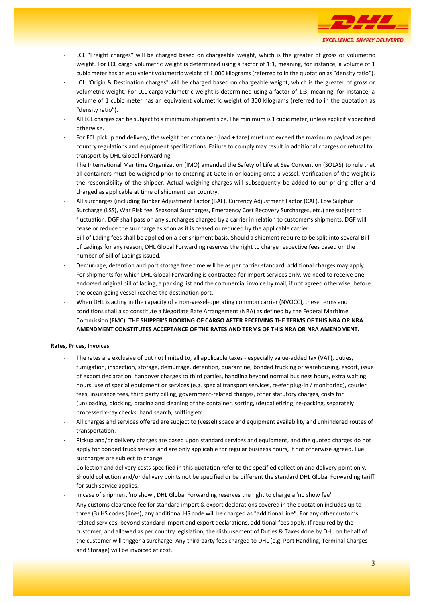

- LCL "Freight charges" will be charged based on chargeable weight, which is the greater of gross or volumetric weight. For LCL cargo volumetric weight is determined using a factor of 1:1, meaning, for instance, a volume of 1 cubic meter has an equivalent volumetric weight of 1,000 kilograms (referred to in the quotation as "density ratio").
- LCL "Origin & Destination charges" will be charged based on chargeable weight, which is the greater of gross or volumetric weight. For LCL cargo volumetric weight is determined using a factor of 1:3, meaning, for instance, a volume of 1 cubic meter has an equivalent volumetric weight of 300 kilograms (referred to in the quotation as "density ratio").
- All LCL charges can be subject to a minimum shipment size. The minimum is 1 cubic meter, unless explicitly specified otherwise.
- For FCL pickup and delivery, the weight per container (load + tare) must not exceed the maximum payload as per country regulations and equipment specifications. Failure to comply may result in additional charges or refusal to transport by DHL Global Forwarding.

The International Maritime Organization (IMO) amended the Safety of Life at Sea Convention (SOLAS) to rule that all containers must be weighed prior to entering at Gate-in or loading onto a vessel. Verification of the weight is the responsibility of the shipper. Actual weighing charges will subsequently be added to our pricing offer and charged as applicable at time of shipment per country.

- All surcharges (including Bunker Adjustment Factor (BAF), Currency Adjustment Factor (CAF), Low Sulphur Surcharge (LSS), War Risk fee, Seasonal Surcharges, Emergency Cost Recovery Surcharges, etc.) are subject to fluctuation. DGF shall pass on any surcharges charged by a carrier in relation to customer's shipments. DGF will cease or reduce the surcharge as soon as it is ceased or reduced by the applicable carrier.
- Bill of Lading fees shall be applied on a per shipment basis. Should a shipment require to be split into several Bill of Ladings for any reason, DHL Global Forwarding reserves the right to charge respective fees based on the number of Bill of Ladings issued.
- Demurrage, detention and port storage free time will be as per carrier standard; additional charges may apply.
- For shipments for which DHL Global Forwarding is contracted for import services only, we need to receive one endorsed original bill of lading, a packing list and the commercial invoice by mail, if not agreed otherwise, before the ocean-going vessel reaches the destination port.
- When DHL is acting in the capacity of a non-vessel-operating common carrier (NVOCC), these terms and conditions shall also constitute a Negotiate Rate Arrangement (NRA) as defined by the Federal Maritime Commission (FMC). **THE SHIPPER'S BOOKING OF CARGO AFTER RECEIVING THE TERMS OF THIS NRA OR NRA AMENDMENT CONSTITUTES ACCEPTANCE OF THE RATES AND TERMS OF THIS NRA OR NRA AMENDMENT.**

# **Rates, Prices, Invoices**

- The rates are exclusive of but not limited to, all applicable taxes especially value-added tax (VAT), duties, fumigation, inspection, storage, demurrage, detention, quarantine, bonded trucking or warehousing, escort, issue of export declaration, handover charges to third parties, handling beyond normal business hours, extra waiting hours, use of special equipment or services (e.g. special transport services, reefer plug-in / monitoring), courier fees, insurance fees, third party billing, government-related charges, other statutory charges, costs for (un)loading, blocking, bracing and cleaning of the container, sorting, (de)palletizing, re-packing, separately processed x-ray checks, hand search, sniffing etc.
- All charges and services offered are subject to (vessel) space and equipment availability and unhindered routes of transportation.
- Pickup and/or delivery charges are based upon standard services and equipment, and the quoted charges do not apply for bonded truck service and are only applicable for regular business hours, if not otherwise agreed. Fuel surcharges are subject to change.
- Collection and delivery costs specified in this quotation refer to the specified collection and delivery point only. Should collection and/or delivery points not be specified or be different the standard DHL Global Forwarding tariff for such service applies.
- In case of shipment 'no show', DHL Global Forwarding reserves the right to charge a 'no show fee'.
- Any customs clearance fee for standard import & export declarations covered in the quotation includes up to three (3) HS codes (lines), any additional HS code will be charged as "additional line". For any other customs related services, beyond standard import and export declarations, additional fees apply. If required by the customer, and allowed as per country legislation, the disbursement of Duties & Taxes done by DHL on behalf of the customer will trigger a surcharge. Any third party fees charged to DHL (e.g. Port Handling, Terminal Charges and Storage) will be invoiced at cost.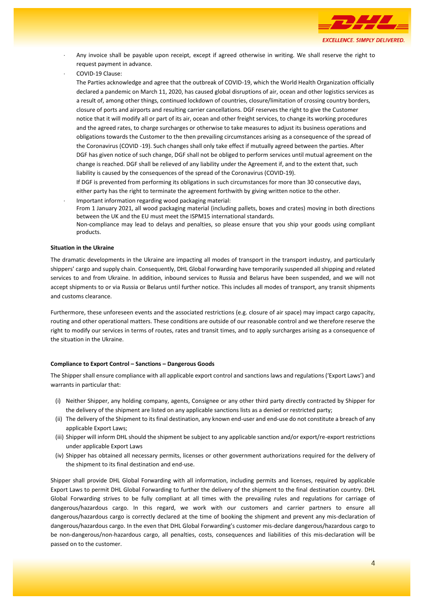

- Any invoice shall be payable upon receipt, except if agreed otherwise in writing. We shall reserve the right to request payment in advance.
- COVID-19 Clause:

The Parties acknowledge and agree that the outbreak of COVID-19, which the World Health Organization officially declared a pandemic on March 11, 2020, has caused global disruptions of air, ocean and other logistics services as a result of, among other things, continued lockdown of countries, closure/limitation of crossing country borders, closure of ports and airports and resulting carrier cancellations. DGF reserves the right to give the Customer notice that it will modify all or part of its air, ocean and other freight services, to change its working procedures and the agreed rates, to charge surcharges or otherwise to take measures to adjust its business operations and obligations towards the Customer to the then prevailing circumstances arising as a consequence of the spread of the Coronavirus (COVID -19). Such changes shall only take effect if mutually agreed between the parties. After DGF has given notice of such change, DGF shall not be obliged to perform services until mutual agreement on the change is reached. DGF shall be relieved of any liability under the Agreement if, and to the extent that, such liability is caused by the consequences of the spread of the Coronavirus (COVID-19).

If DGF is prevented from performing its obligations in such circumstances for more than 30 consecutive days, either party has the right to terminate the agreement forthwith by giving written notice to the other.

 Important information regarding wood packaging material: From 1 January 2021, all wood packaging material (including pallets, boxes and crates) moving in both directions between the UK and the EU must meet the ISPM15 international standards. Non-compliance may lead to delays and penalties, so please ensure that you ship your goods using compliant products.

# **Situation in the Ukraine**

The dramatic developments in the Ukraine are impacting all modes of transport in the transport industry, and particularly shippers' cargo and supply chain. Consequently, DHL Global Forwarding have temporarily suspended all shipping and related services to and from Ukraine. In addition, inbound services to Russia and Belarus have been suspended, and we will not accept shipments to or via Russia or Belarus until further notice. This includes all modes of transport, any transit shipments and customs clearance.

Furthermore, these unforeseen events and the associated restrictions (e.g. closure of air space) may impact cargo capacity, routing and other operational matters. These conditions are outside of our reasonable control and we therefore reserve the right to modify our services in terms of routes, rates and transit times, and to apply surcharges arising as a consequence of the situation in the Ukraine.

#### **Compliance to Export Control – Sanctions – Dangerous Goods**

The Shipper shall ensure compliance with all applicable export control and sanctions laws and regulations ('Export Laws') and warrants in particular that:

- (i) Neither Shipper, any holding company, agents, Consignee or any other third party directly contracted by Shipper for the delivery of the shipment are listed on any applicable sanctions lists as a denied or restricted party;
- (ii) The delivery of the Shipment to its final destination, any known end-user and end-use do not constitute a breach of any applicable Export Laws;
- (iii) Shipper will inform DHL should the shipment be subject to any applicable sanction and/or export/re-export restrictions under applicable Export Laws
- (iv) Shipper has obtained all necessary permits, licenses or other government authorizations required for the delivery of the shipment to its final destination and end-use.

Shipper shall provide DHL Global Forwarding with all information, including permits and licenses, required by applicable Export Laws to permit DHL Global Forwarding to further the delivery of the shipment to the final destination country. DHL Global Forwarding strives to be fully compliant at all times with the prevailing rules and regulations for carriage of dangerous/hazardous cargo. In this regard, we work with our customers and carrier partners to ensure all dangerous/hazardous cargo is correctly declared at the time of booking the shipment and prevent any mis-declaration of dangerous/hazardous cargo. In the even that DHL Global Forwarding's customer mis-declare dangerous/hazardous cargo to be non-dangerous/non-hazardous cargo, all penalties, costs, consequences and liabilities of this mis-declaration will be passed on to the customer.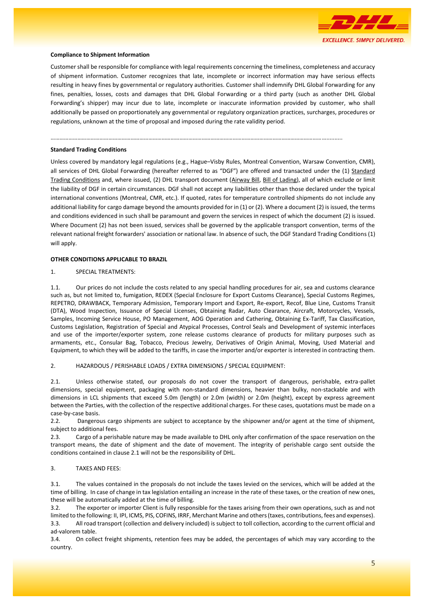

#### **Compliance to Shipment Information**

Customer shall be responsible for compliance with legal requirements concerning the timeliness, completeness and accuracy of shipment information. Customer recognizes that late, incomplete or incorrect information may have serious effects resulting in heavy fines by governmental or regulatory authorities. Customer shall indemnify DHL Global Forwarding for any fines, penalties, losses, costs and damages that DHL Global Forwarding or a third party (such as another DHL Global Forwarding's shipper) may incur due to late, incomplete or inaccurate information provided by customer, who shall additionally be passed on proportionately any governmental or regulatory organization practices, surcharges, procedures or regulations, unknown at the time of proposal and imposed during the rate validity period.

……………………………………………………………………………………………………………………………………………………………………..........

### **Standard Trading Conditions**

Unless covered by mandatory legal regulations (e.g., Hague–Visby Rules, Montreal Convention, Warsaw Convention, CMR), all services of DHL Global Forwarding (hereafter referred to as "DGF") are offered and transacted under the (1) [Standard](https://www.dhl.com/content/dam/dhl/global/dhl-global-forwarding/documents/pdf/glo-dgf-standard-trading-conditions.pdf)  [Trading Conditions](https://www.dhl.com/content/dam/dhl/global/dhl-global-forwarding/documents/pdf/glo-dgf-standard-trading-conditions.pdf) and, where issued, (2) DHL transport document [\(Airway Bill,](https://www.dhl.com/content/dam/dhl/global/dhl-global-forwarding/documents/pdf/glo-dgf-hawb-terms.pdf) [Bill of Lading\)](https://www.dhl.com/content/dam/dhl/global/dhl-global-forwarding/documents/pdf/glo-dgf-danmar-terms-and-conditions.pdf), all of which exclude or limit the liability of DGF in certain circumstances. DGF shall not accept any liabilities other than those declared under the typical international conventions (Montreal, CMR, etc.). If quoted, rates for temperature controlled shipments do not include any additional liability for cargo damage beyond the amounts provided for in (1) or (2). Where a document (2) is issued, the terms and conditions evidenced in such shall be paramount and govern the services in respect of which the document (2) is issued. Where Document (2) has not been issued, services shall be governed by the applicable transport convention, terms of the relevant national freight forwarders' association or national law. In absence of such, the DGF Standard Trading Conditions (1) will apply.

#### **OTHER CONDITIONS APPLICABLE TO BRAZIL**

1. SPECIAL TREATMENTS:

1.1. Our prices do not include the costs related to any special handling procedures for air, sea and customs clearance such as, but not limited to, fumigation, REDEX (Special Enclosure for Export Customs Clearance), Special Customs Regimes, REPETRO, DRAWBACK, Temporary Admission, Temporary Import and Export, Re-export, Recof, Blue Line, Customs Transit (DTA), Wood Inspection, Issuance of Special Licenses, Obtaining Radar, Auto Clearance, Aircraft, Motorcycles, Vessels, Samples, Incoming Service House, PO Management, AOG Operation and Cathering, Obtaining Ex-Tariff, Tax Classification, Customs Legislation, Registration of Special and Atypical Processes, Control Seals and Development of systemic interfaces and use of the importer/exporter system, zone release customs clearance of products for military purposes such as armaments, etc., Consular Bag, Tobacco, Precious Jewelry, Derivatives of Origin Animal, Moving, Used Material and Equipment, to which they will be added to the tariffs, in case the importer and/or exporter is interested in contracting them.

2. HAZARDOUS / PERISHABLE LOADS / EXTRA DIMENSIONS / SPECIAL EQUIPMENT:

2.1. Unless otherwise stated, our proposals do not cover the transport of dangerous, perishable, extra-pallet dimensions, special equipment, packaging with non-standard dimensions, heavier than bulky, non-stackable and with dimensions in LCL shipments that exceed 5.0m (length) or 2.0m (width) or 2.0m (height), except by express agreement between the Parties, with the collection of the respective additional charges. For these cases, quotations must be made on a case-by-case basis.

2.2. Dangerous cargo shipments are subject to acceptance by the shipowner and/or agent at the time of shipment, subject to additional fees.

2.3. Cargo of a perishable nature may be made available to DHL only after confirmation of the space reservation on the transport means, the date of shipment and the date of movement. The integrity of perishable cargo sent outside the conditions contained in clause 2.1 will not be the responsibility of DHL.

### 3. TAXES AND FEES:

3.1. The values contained in the proposals do not include the taxes levied on the services, which will be added at the time of billing. In case of change in tax legislation entailing an increase in the rate of these taxes, or the creation of new ones, these will be automatically added at the time of billing.

3.2. The exporter or importer Client is fully responsible for the taxes arising from their own operations, such as and not limited to the following: II, IPI, ICMS, PIS, COFINS, IRRF, Merchant Marine and others (taxes, contributions, fees and expenses). 3.3. All road transport (collection and delivery included) is subject to toll collection, according to the current official and ad-valorem table.

3.4. On collect freight shipments, retention fees may be added, the percentages of which may vary according to the country.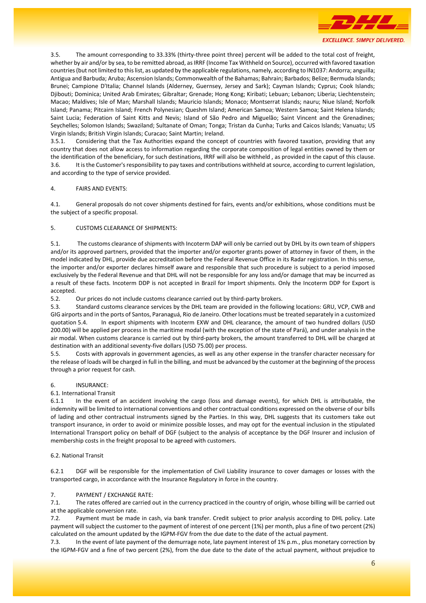

3.5. The amount corresponding to 33.33% (thirty-three point three) percent will be added to the total cost of freight, whether by air and/or by sea, to be remitted abroad, as IRRF (Income Tax Withheld on Source), occurred with favored taxation countries (but not limited to this list, as updated by the applicable regulations, namely, according to IN1037: Andorra; anguilla; Antigua and Barbuda; Aruba; Ascension Islands; Commonwealth of the Bahamas; Bahrain; Barbados; Belize; Bermuda Islands; Brunei; Campione D'Italia; Channel Islands (Alderney, Guernsey, Jersey and Sark); Cayman Islands; Cyprus; Cook Islands; Djibouti; Dominica; United Arab Emirates; Gibraltar; Grenade; Hong Kong; Kiribati; Lebuan; Lebanon; Liberia; Liechtenstein; Macao; Maldives; Isle of Man; Marshall Islands; Mauricio Islands; Monaco; Montserrat Islands; nauru; Niue Island; Norfolk Island; Panama; Pitcairn Island; French Polynesian; Queshm Island; American Samoa; Western Samoa; Saint Helena Islands; Saint Lucia; Federation of Saint Kitts and Nevis; Island of São Pedro and Miguelão; Saint Vincent and the Grenadines; Seychelles; Solomon Islands; Swaziland; Sultanate of Oman; Tonga; Tristan da Cunha; Turks and Caicos Islands; Vanuatu; US Virgin Islands; British Virgin Islands; Curacao; Saint Martin; Ireland.

3.5.1. Considering that the Tax Authorities expand the concept of countries with favored taxation, providing that any country that does not allow access to information regarding the corporate composition of legal entities owned by them or the identification of the beneficiary, for such destinations, IRRF will also be withheld , as provided in the caput of this clause. 3.6. It is the Customer's responsibility to pay taxes and contributions withheld at source, according to current legislation, and according to the type of service provided.

# 4. FAIRS AND EVENTS:

4.1. General proposals do not cover shipments destined for fairs, events and/or exhibitions, whose conditions must be the subject of a specific proposal.

# 5. CUSTOMS CLEARANCE OF SHIPMENTS:

5.1. The customs clearance of shipments with Incoterm DAP will only be carried out by DHL by its own team of shippers and/or its approved partners, provided that the importer and/or exporter grants power of attorney in favor of them, in the model indicated by DHL, provide due accreditation before the Federal Revenue Office in its Radar registration. In this sense, the importer and/or exporter declares himself aware and responsible that such procedure is subject to a period imposed exclusively by the Federal Revenue and that DHL will not be responsible for any loss and/or damage that may be incurred as a result of these facts. Incoterm DDP is not accepted in Brazil for Import shipments. Only the Incoterm DDP for Export is accepted.

5.2. Our prices do not include customs clearance carried out by third-party brokers.

5.3. Standard customs clearance services by the DHL team are provided in the following locations: GRU, VCP, CWB and GIG airports and in the ports of Santos, Paranaguá, Rio de Janeiro. Other locations must be treated separately in a customized quotation 5.4. In export shipments with Incoterm EXW and DHL clearance, the amount of two hundred dollars (USD 200.00) will be applied per process in the maritime modal (with the exception of the state of Pará), and under analysis in the air modal. When customs clearance is carried out by third-party brokers, the amount transferred to DHL will be charged at destination with an additional seventy-five dollars (USD 75.00) per process.

5.5. Costs with approvals in government agencies, as well as any other expense in the transfer character necessary for the release of loads will be charged in full in the billing, and must be advanced by the customer at the beginning of the process through a prior request for cash.

# 6. INSURANCE:

# 6.1. International Transit

6.1.1 In the event of an accident involving the cargo (loss and damage events), for which DHL is attributable, the indemnity will be limited to international conventions and other contractual conditions expressed on the obverse of our bills of lading and other contractual instruments signed by the Parties. In this way, DHL suggests that its customers take out transport insurance, in order to avoid or minimize possible losses, and may opt for the eventual inclusion in the stipulated International Transport policy on behalf of DGF (subject to the analysis of acceptance by the DGF Insurer and inclusion of membership costs in the freight proposal to be agreed with customers.

# 6.2. National Transit

6.2.1 DGF will be responsible for the implementation of Civil Liability insurance to cover damages or losses with the transported cargo, in accordance with the Insurance Regulatory in force in the country.

# 7. PAYMENT / EXCHANGE RATE:

7.1. The rates offered are carried out in the currency practiced in the country of origin, whose billing will be carried out at the applicable conversion rate.

7.2. Payment must be made in cash, via bank transfer. Credit subject to prior analysis according to DHL policy. Late payment will subject the customer to the payment of interest of one percent (1%) per month, plus a fine of two percent (2%) calculated on the amount updated by the IGPM-FGV from the due date to the date of the actual payment.

7.3. In the event of late payment of the demurrage note, late payment interest of 1% p.m., plus monetary correction by the IGPM-FGV and a fine of two percent (2%), from the due date to the date of the actual payment, without prejudice to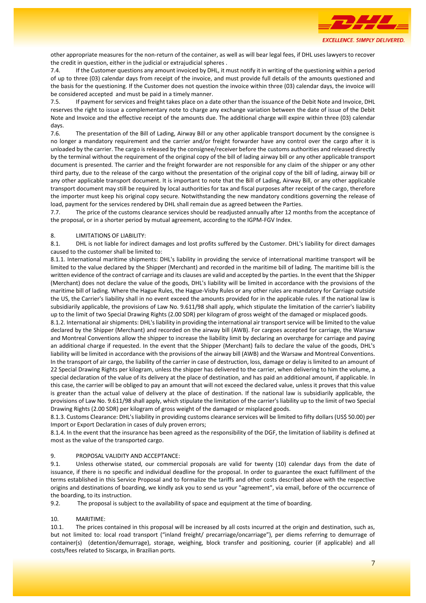

other appropriate measures for the non-return of the container, as well as will bear legal fees, if DHL uses lawyers to recover the credit in question, either in the judicial or extrajudicial spheres .

7.4. If the Customer questions any amount invoiced by DHL, it must notify it in writing of the questioning within a period of up to three (03) calendar days from receipt of the invoice, and must provide full details of the amounts questioned and the basis for the questioning. If the Customer does not question the invoice within three (03) calendar days, the invoice will be considered accepted and must be paid in a timely manner.

7.5. If payment for services and freight takes place on a date other than the issuance of the Debit Note and Invoice, DHL reserves the right to issue a complementary note to charge any exchange variation between the date of issue of the Debit Note and Invoice and the effective receipt of the amounts due. The additional charge will expire within three (03) calendar days.

7.6. The presentation of the Bill of Lading, Airway Bill or any other applicable transport document by the consignee is no longer a mandatory requirement and the carrier and/or freight forwarder have any control over the cargo after it is unloaded by the carrier. The cargo is released by the consignee/receiver before the customs authorities and released directly by the terminal without the requirement of the original copy of the bill of lading airway bill or any other applicable transport document is presented. The carrier and the freight forwarder are not responsible for any claim of the shipper or any other third party, due to the release of the cargo without the presentation of the original copy of the bill of lading, airway bill or any other applicable transport document. It is important to note that the Bill of Lading, Airway Bill, or any other applicable transport document may still be required by local authorities for tax and fiscal purposes after receipt of the cargo, therefore the importer must keep his original copy secure. Notwithstanding the new mandatory conditions governing the release of load, payment for the services rendered by DHL shall remain due as agreed between the Parties.

7.7. The price of the customs clearance services should be readjusted annually after 12 months from the acceptance of the proposal, or in a shorter period by mutual agreement, according to the IGPM-FGV Index.

# 8. LIMITATIONS OF LIABILITY:

8.1. DHL is not liable for indirect damages and lost profits suffered by the Customer. DHL's liability for direct damages caused to the customer shall be limited to:

8.1.1. International maritime shipments: DHL's liability in providing the service of international maritime transport will be limited to the value declared by the Shipper (Merchant) and recorded in the maritime bill of lading. The maritime bill is the written evidence of the contract of carriage and its clauses are valid and accepted by the parties. In the event that the Shipper (Merchant) does not declare the value of the goods, DHL's liability will be limited in accordance with the provisions of the maritime bill of lading. Where the Hague Rules, the Hague-Visby Rules or any other rules are mandatory for Carriage outside the US, the Carrier's liability shall in no event exceed the amounts provided for in the applicable rules. If the national law is subsidiarily applicable, the provisions of Law No. 9.611/98 shall apply, which stipulate the limitation of the carrier's liability up to the limit of two Special Drawing Rights (2.00 SDR) per kilogram of gross weight of the damaged or misplaced goods.

8.1.2. International air shipments: DHL's liability in providing the international air transport service will be limited to the value declared by the Shipper (Merchant) and recorded on the airway bill (AWB). For cargoes accepted for carriage, the Warsaw and Montreal Conventions allow the shipper to increase the liability limit by declaring an overcharge for carriage and paying an additional charge if requested. In the event that the Shipper (Merchant) fails to declare the value of the goods, DHL's liability will be limited in accordance with the provisions of the airway bill (AWB) and the Warsaw and Montreal Conventions. In the transport of air cargo, the liability of the carrier in case of destruction, loss, damage or delay is limited to an amount of 22 Special Drawing Rights per kilogram, unless the shipper has delivered to the carrier, when delivering to him the volume, a special declaration of the value of its delivery at the place of destination, and has paid an additional amount, if applicable. In this case, the carrier will be obliged to pay an amount that will not exceed the declared value, unless it proves that this value is greater than the actual value of delivery at the place of destination. If the national law is subsidiarily applicable, the provisions of Law No. 9.611/98 shall apply, which stipulate the limitation of the carrier's liability up to the limit of two Special Drawing Rights (2.00 SDR) per kilogram of gross weight of the damaged or misplaced goods.

8.1.3. Customs Clearance: DHL's liability in providing customs clearance services will be limited to fifty dollars (US\$ 50.00) per Import or Export Declaration in cases of duly proven errors;

8.1.4. In the event that the insurance has been agreed as the responsibility of the DGF, the limitation of liability is defined at most as the value of the transported cargo.

#### 9. PROPOSAL VALIDITY AND ACCEPTANCE:

9.1. Unless otherwise stated, our commercial proposals are valid for twenty (10) calendar days from the date of issuance, if there is no specific and individual deadline for the proposal. In order to guarantee the exact fulfillment of the terms established in this Service Proposal and to formalize the tariffs and other costs described above with the respective origins and destinations of boarding, we kindly ask you to send us your "agreement", via email, before of the occurrence of the boarding, to its instruction.

9.2. The proposal is subject to the availability of space and equipment at the time of boarding.

# 10. MARITIME:

10.1. The prices contained in this proposal will be increased by all costs incurred at the origin and destination, such as, but not limited to: local road transport ("inland freight/ precarriage/oncarriage"), per diems referring to demurrage of container(s) (detention/demurrage), storage, weighing, block transfer and positioning, courier (if applicable) and all costs/fees related to Siscarga, in Brazilian ports.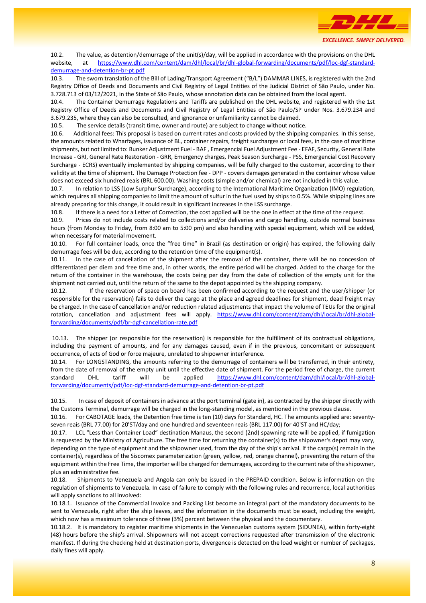

10.2. The value, as detention/demurrage of the unit(s)/day, will be applied in accordance with the provisions on the DHL website, at [https://www.dhl.com/content/dam/dhl/local/br/dhl-global-forwarding/documents/pdf/loc-dgf-standard](https://www.dhl.com/content/dam/dhl/local/br/dhl-global-forwarding/documents/pdf/loc-dgf-standard-demurrage-and-detention-br-pt.pdf)[demurrage-and-detention-br-pt.pdf](https://www.dhl.com/content/dam/dhl/local/br/dhl-global-forwarding/documents/pdf/loc-dgf-standard-demurrage-and-detention-br-pt.pdf)

10.3. The sworn translation of the Bill of Lading/Transport Agreement ("B/L") DAMMAR LINES, is registered with the 2nd Registry Office of Deeds and Documents and Civil Registry of Legal Entities of the Judicial District of São Paulo, under No. 3.728.713 of 03/12/2021, in the State of São Paulo, whose annotation data can be obtained from the local agent.

10.4. The Container Demurrage Regulations and Tariffs are published on the DHL website, and registered with the 1st Registry Office of Deeds and Documents and Civil Registry of Legal Entities of São Paulo/SP under Nos. 3.679.234 and 3.679.235, where they can also be consulted, and ignorance or unfamiliarity cannot be claimed.

10.5. The service details (transit time, owner and route) are subject to change without notice.

10.6. Additional fees: This proposal is based on current rates and costs provided by the shipping companies. In this sense, the amounts related to Wharfages, issuance of BL, container repairs, freight surcharges or local fees, in the case of maritime shipments, but not limited to: Bunker Adjustment Fuel - BAF , Emergencial Fuel Adjustment Fee - EFAF, Security, General Rate Increase - GRI, General Rate Restoration - GRR, Emergency charges, Peak Season Surcharge - PSS, Emergencial Cost Recovery Surcharge - ECRS) eventually implemented by shipping companies, will be fully charged to the customer, according to their validity at the time of shipment. The Damage Protection fee - DPP - covers damages generated in the container whose value does not exceed six hundred reais (BRL 600.00). Washing costs (simple and/or chemical) are not included in this value.

10.7. In relation to LSS (Low Surphur Surcharge), according to the International Maritime Organization (IMO) regulation, which requires all shipping companies to limit the amount of sulfur in the fuel used by ships to 0.5%. While shipping lines are already preparing for this change, it could result in significant increases in the LSS surcharge.

10.8. If there is a need for a Letter of Correction, the cost applied will be the one in effect at the time of the request.

10.9. Prices do not include costs related to collections and/or deliveries and cargo handling, outside normal business hours (from Monday to Friday, from 8:00 am to 5:00 pm) and also handling with special equipment, which will be added, when necessary for material movement.

10.10. For full container loads, once the "free time" in Brazil (as destination or origin) has expired, the following daily demurrage fees will be due, according to the retention time of the equipment(s).

10.11. In the case of cancellation of the shipment after the removal of the container, there will be no concession of differentiated per diem and free time and, in other words, the entire period will be charged. Added to the charge for the return of the container in the warehouse, the costs being per day from the date of collection of the empty unit for the shipment not carried out, until the return of the same to the depot appointed by the shipping company.

10.12. If the reservation of space on board has been confirmed according to the request and the user/shipper (or responsible for the reservation) fails to deliver the cargo at the place and agreed deadlines for shipment, dead freight may be charged. In the case of cancellation and/or reduction related adjustments that impact the volume of TEUs for the original rotation, cancellation and adjustment fees will apply. [https://www.dhl.com/content/dam/dhl/local/br/dhl-global](https://www.dhl.com/content/dam/dhl/local/br/dhl-global-forwarding/documents/pdf/br-dgf-cancellation-rate.pdf)[forwarding/documents/pdf/br-dgf-cancellation-rate.pdf](https://www.dhl.com/content/dam/dhl/local/br/dhl-global-forwarding/documents/pdf/br-dgf-cancellation-rate.pdf)

10.13. The shipper (or responsible for the reservation) is responsible for the fulfillment of its contractual obligations, including the payment of amounts, and for any damages caused, even if in the previous, concomitant or subsequent occurrence, of acts of God or force majeure, unrelated to shipowner interference.

10.14. For LONGSTANDING, the amounts referring to the demurrage of containers will be transferred, in their entirety, from the date of removal of the empty unit until the effective date of shipment. For the period free of charge, the current standard DHL tariff will be applied [https://www.dhl.com/content/dam/dhl/local/br/dhl-global](https://www.dhl.com/content/dam/dhl/local/br/dhl-global-forwarding/documents/pdf/loc-dgf-standard-demurrage-and-detention-br-pt.pdf)[forwarding/documents/pdf/loc-dgf-standard-demurrage-and-detention-br-pt.pdf](https://www.dhl.com/content/dam/dhl/local/br/dhl-global-forwarding/documents/pdf/loc-dgf-standard-demurrage-and-detention-br-pt.pdf)

10.15. In case of deposit of containers in advance at the port terminal (gate in), as contracted by the shipper directly with the Customs Terminal, demurrage will be charged in the long-standing model, as mentioned in the previous clause.

10.16. For CABOTAGE loads, the Detention free time is ten (10) days for Standard, HC. The amounts applied are: seventyseven reais (BRL 77.00) for 20'ST/day and one hundred and seventeen reais (BRL 117.00) for 40'ST and HC/day;

10.17. LCL "Less than Container Load" destination Manaus, the second (2nd) spawning rate will be applied, if fumigation is requested by the Ministry of Agriculture. The free time for returning the container(s) to the shipowner's depot may vary, depending on the type of equipment and the shipowner used, from the day of the ship's arrival. If the cargo(s) remain in the container(s), regardless of the Siscomex parameterization (green, yellow, red, orange channel), preventing the return of the equipment within the Free Time, the importer will be charged for demurrages, according to the current rate of the shipowner, plus an administrative fee.

10.18. Shipments to Venezuela and Angola can only be issued in the PREPAID condition. Below is information on the regulation of shipments to Venezuela. In case of failure to comply with the following rules and recurrence, local authorities will apply sanctions to all involved:

10.18.1. Issuance of the Commercial Invoice and Packing List become an integral part of the mandatory documents to be sent to Venezuela, right after the ship leaves, and the information in the documents must be exact, including the weight, which now has a maximum tolerance of three (3%) percent between the physical and the documentary.

10.18.2. It is mandatory to register maritime shipments in the Venezuelan customs system (SIDUNEA), within forty-eight (48) hours before the ship's arrival. Shipowners will not accept corrections requested after transmission of the electronic manifest. If during the checking held at destination ports, divergence is detected on the load weight or number of packages, daily fines will apply.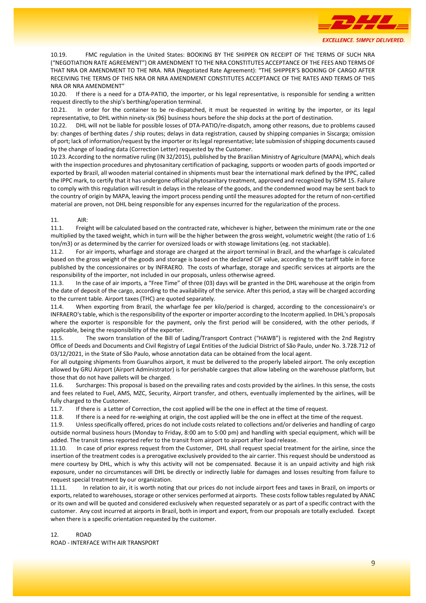

10.19. FMC regulation in the United States: BOOKING BY THE SHIPPER ON RECEIPT OF THE TERMS OF SUCH NRA ("NEGOTIATION RATE AGREEMENT") OR AMENDMENT TO THE NRA CONSTITUTES ACCEPTANCE OF THE FEES AND TERMS OF THAT NRA OR AMENDMENT TO THE NRA. NRA (Negotiated Rate Agreement): "THE SHIPPER'S BOOKING OF CARGO AFTER RECEIVING THE TERMS OF THIS NRA OR NRA AMENDMENT CONSTITUTES ACCEPTANCE OF THE RATES AND TERMS OF THIS NRA OR NRA AMENDMENT"

10.20. If there is a need for a DTA-PATIO, the importer, or his legal representative, is responsible for sending a written request directly to the ship's berthing/operation terminal.

10.21. In order for the container to be re-dispatched, it must be requested in writing by the importer, or its legal representative, to DHL within ninety-six (96) business hours before the ship docks at the port of destination.

10.22. DHL will not be liable for possible losses of DTA-PATIO/re-dispatch, among other reasons, due to problems caused by: changes of berthing dates / ship routes; delays in data registration, caused by shipping companies in Siscarga; omission of port; lack of information/request by the importer or its legal representative; late submission of shipping documents caused by the change of loading data (Correction Letter) requested by the Customer.

10.23. According to the normative ruling (IN 32/2015), published by the Brazilian Ministry of Agriculture (MAPA), which deals with the inspection procedures and phytosanitary certification of packaging, supports or wooden parts of goods imported or exported by Brazil, all wooden material contained in shipments must bear the international mark defined by the IPPC, called the IPPC mark, to certify that it has undergone official phytosanitary treatment, approved and recognized by ISPM 15. Failure to comply with this regulation will result in delays in the release of the goods, and the condemned wood may be sent back to the country of origin by MAPA, leaving the import process pending until the measures adopted for the return of non-certified material are proven, not DHL being responsible for any expenses incurred for the regularization of the process.

#### 11. AIR:

11.1. Freight will be calculated based on the contracted rate, whichever is higher, between the minimum rate or the one multiplied by the taxed weight, which in turn will be the higher between the gross weight, volumetric weight (the ratio of 1:6 ton/m3) or as determined by the carrier for oversized loads or with stowage limitations (eg. not stackable).

11.2. For air imports, wharfage and storage are charged at the airport terminal in Brazil, and the wharfage is calculated based on the gross weight of the goods and storage is based on the declared CIF value, according to the tariff table in force published by the concessionaires or by INFRAERO. The costs of wharfage, storage and specific services at airports are the responsibility of the importer, not included in our proposals, unless otherwise agreed.

11.3. In the case of air imports, a "Free Time" of three (03) days will be granted in the DHL warehouse at the origin from the date of deposit of the cargo, according to the availability of the service. After this period, a stay will be charged according to the current table. Airport taxes (THC) are quoted separately.

11.4. When exporting from Brazil, the wharfage fee per kilo/period is charged, according to the concessionaire's or INFRAERO's table, which is the responsibility of the exporter or importer according to the Incoterm applied. In DHL's proposals where the exporter is responsible for the payment, only the first period will be considered, with the other periods, if applicable, being the responsibility of the exporter.

11.5. The sworn translation of the Bill of Lading/Transport Contract ("HAWB") is registered with the 2nd Registry Office of Deeds and Documents and Civil Registry of Legal Entities of the Judicial District of São Paulo, under No. 3.728.712 of 03/12/2021, in the State of São Paulo, whose annotation data can be obtained from the local agent.

For all outgoing shipments from Guarulhos airport, it must be delivered to the properly labeled airport. The only exception allowed by GRU Airport (Airport Administrator) is for perishable cargoes that allow labeling on the warehouse platform, but those that do not have pallets will be charged.

11.6. Surcharges: This proposal is based on the prevailing rates and costs provided by the airlines. In this sense, the costs and fees related to Fuel, AMS, MZC, Security, Airport transfer, and others, eventually implemented by the airlines, will be fully charged to the Customer.

11.7. If there is a Letter of Correction, the cost applied will be the one in effect at the time of request.

11.8. If there is a need for re-weighing at origin, the cost applied will be the one in effect at the time of the request.

11.9. Unless specifically offered, prices do not include costs related to collections and/or deliveries and handling of cargo outside normal business hours (Monday to Friday, 8:00 am to 5:00 pm) and handling with special equipment, which will be added. The transit times reported refer to the transit from airport to airport after load release.

11.10. In case of prior express request from the Customer, DHL shall request special treatment for the airline, since the insertion of the treatment codes is a prerogative exclusively provided to the air carrier. This request should be understood as mere courtesy by DHL, which is why this activity will not be compensated. Because it is an unpaid activity and high risk exposure, under no circumstances will DHL be directly or indirectly liable for damages and losses resulting from failure to request special treatment by our organization.

11.11. In relation to air, it is worth noting that our prices do not include airport fees and taxes in Brazil, on imports or exports, related to warehouses, storage or other services performed at airports. These costs follow tables regulated by ANAC or its own and will be quoted and considered exclusively when requested separately or as part of a specific contract with the customer. Any cost incurred at airports in Brazil, both in import and export, from our proposals are totally excluded. Except when there is a specific orientation requested by the customer.

# 12. ROAD

ROAD - INTERFACE WITH AIR TRANSPORT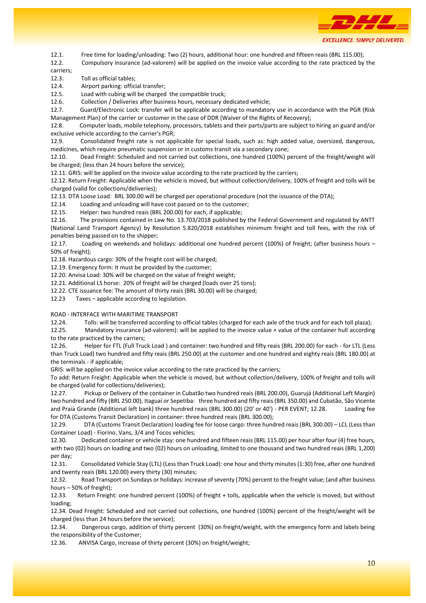

12.1. Free time for loading/unloading: Two (2) hours, additional hour: one hundred and fifteen reais (BRL 115.00);

12.2. Compulsory insurance (ad-valorem) will be applied on the invoice value according to the rate practiced by the carriers;

12.3. Toll as official tables;

12.4. Airport parking: official transfer;

12.5. Load with cubing will be charged the compatible truck;

12.6. Collection / Deliveries after business hours, necessary dedicated vehicle;

12.7. Guard/Electronic Lock: transfer will be applicable according to mandatory use in accordance with the PGR (Risk Management Plan) of the carrier or customer in the case of DDR (Waiver of the Rights of Recovery);

12.8. Computer loads, mobile telephony, processors, tablets and their parts/parts are subject to hiring an guard and/or exclusive vehicle according to the carrier's PGR;

12.9. Consolidated freight rate is not applicable for special loads, such as: high added value, oversized, dangerous, medicines, which require pneumatic suspension or in customs transit via a secondary zone;

12.10. Dead Freight: Scheduled and not carried out collections, one hundred (100%) percent of the freight/weight will be charged; (less than 24 hours before the service);

12.11. GRIS: will be applied on the invoice value according to the rate practiced by the carriers;

12.12. Return Freight: Applicable when the vehicle is moved, but without collection/delivery, 100% of freight and tolls will be charged (valid for collections/deliveries);

12.13. DTA Loose Load: BRL 300.00 will be charged per operational procedure (not the issuance of the DTA);

12.14. Loading and unloading will have cost passed on to the customer;

12.15. Helper: two hundred reais (BRL 200.00) for each, if applicable;

12.16. The provisions contained in Law No. 13.703/2018 published by the Federal Government and regulated by ANTT (National Land Transport Agency) by Resolution 5.820/2018 establishes minimum freight and toll fees, with the risk of penalties being passed on to the shipper;

12.17. Loading on weekends and holidays: additional one hundred percent (100%) of freight; (after business hours – 50% of freight);

12.18. Hazardous cargo: 30% of the freight cost will be charged;

12.19. Emergency form: It must be provided by the customer;

12.20. Anvisa Load: 30% will be charged on the value of freight weight;

12.21. Additional LS horse: 20% of freight will be charged (loads over 25 tons);

12.22. CTE issuance fee: The amount of thirty reais (BRL 30.00) will be charged;

12.23 Taxes – applicable according to legislation.

ROAD - INTERFACE WITH MARITIME TRANSPORT

12.24. Tolls: will be transferred according to official tables (charged for each axle of the truck and for each toll plaza);

12.25. Mandatory insurance (ad-valorem): will be applied to the invoice value + value of the container hull according to the rate practiced by the carriers;

12.26. Helper for FTL (Full Truck Load ) and container: two hundred and fifty reais (BRL 200.00) for each - for LTL (Less than Truck Load) two hundred and fifty reais (BRL 250.00) at the customer and one hundred and eighty reais (BRL 180.00) at the terminals - if applicable;

GRIS: will be applied on the invoice value according to the rate practiced by the carriers;

To add: Return Freight: Applicable when the vehicle is moved, but without collection/delivery, 100% of freight and tolls will be charged (valid for collections/deliveries);

12.27. Pickup or Delivery of the container in Cubatão two hundred reais (BRL 200.00), Guarujá (Additional Left Margin) two hundred and fifty (BRL 250.00), Itaguaí or Sepetiba: three hundred and fifty reais (BRL 350.00) and Cubatão, São Vicente and Praia Grande (Additional left bank) three hundred reais (BRL 300.00) (20' or 40') - PER EVENT; 12.28. Loading fee for DTA (Customs Transit Declaration) in container: three hundred reais (BRL 300.00);

12.29. DTA (Customs Transit Declaration) loading fee for loose cargo: three hundred reais (BRL 300.00) – LCL (Less than Container Load) - Fiorino, Vans, 3/4 and Tocos vehicles;

12.30. Dedicated container or vehicle stay: one hundred and fifteen reais (BRL 115.00) per hour after four (4) free hours, with two (02) hours on loading and two (02) hours on unloading, limited to one thousand and two hundred reais (BRL 1,200) per day;

12.31. Consolidated Vehicle Stay (LTL) (Less than Truck Load): one hour and thirty minutes (1:30) free, after one hundred and twenty reais (BRL 120.00) every thirty (30) minutes;

12.32. Road Transport on Sundays or holidays: increase of seventy (70%) percent to the freight value; (and after business hours – 50% of freight);

12.33. Return Freight: one hundred percent (100%) of freight + tolls, applicable when the vehicle is moved, but without loading;

12.34. Dead Freight: Scheduled and not carried out collections, one hundred (100%) percent of the freight/weight will be charged (less than 24 hours before the service);

12.34. Dangerous cargo, addition of thirty percent (30%) on freight/weight, with the emergency form and labels being the responsibility of the Customer;

12.36. ANVISA Cargo, increase of thirty percent (30%) on freight/weight;